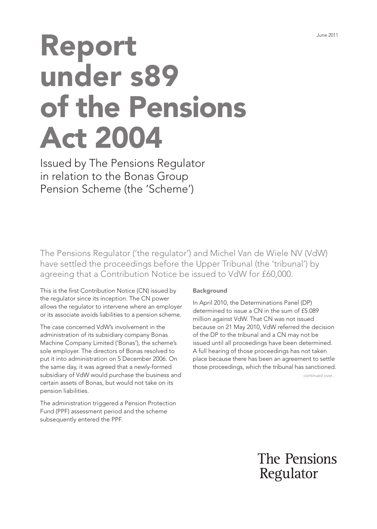## Report under s89 of the Pensions Act 2004

Issued by The Pensions Regulator in relation to the Bonas Group Pension Scheme (the 'Scheme')

The Pensions Regulator ('the regulator') and Michel Van de Wiele NV (VdW) have settled the proceedings before the Upper Tribunal (the 'tribunal') by agreeing that a Contribution Notice be issued to VdW for £60,000.

This is the first Contribution Notice (CN) issued by the regulator since its inception. The CN power allows the regulator to intervene where an employer or its associate avoids liabilities to a pension scheme.

The case concerned VdW's involvement in the administration of its subsidiary company Bonas Machine Company Limited ('Bonas'), the scheme's sole employer. The directors of Bonas resolved to put it into administration on 5 December 2006. On the same day, it was agreed that a newly-formed subsidiary of VdW would purchase the business and certain assets of Bonas, but would not take on its pension liabilities.

The administration triggered a Pension Protection Fund (PPF) assessment period and the scheme subsequently entered the PPF.

## Background

In April 2010, the Determinations Panel (DP) determined to issue a CN in the sum of £5.089 million against VdW. That CN was not issued because on 21 May 2010, VdW referred the decision of the DP to the tribunal and a CN may not be issued until all proceedings have been determined. A full hearing of those proceedings has not taken place because there has been an agreement to settle those proceedings, which the tribunal has sanctioned.

continued over...

The Pensions Regulator